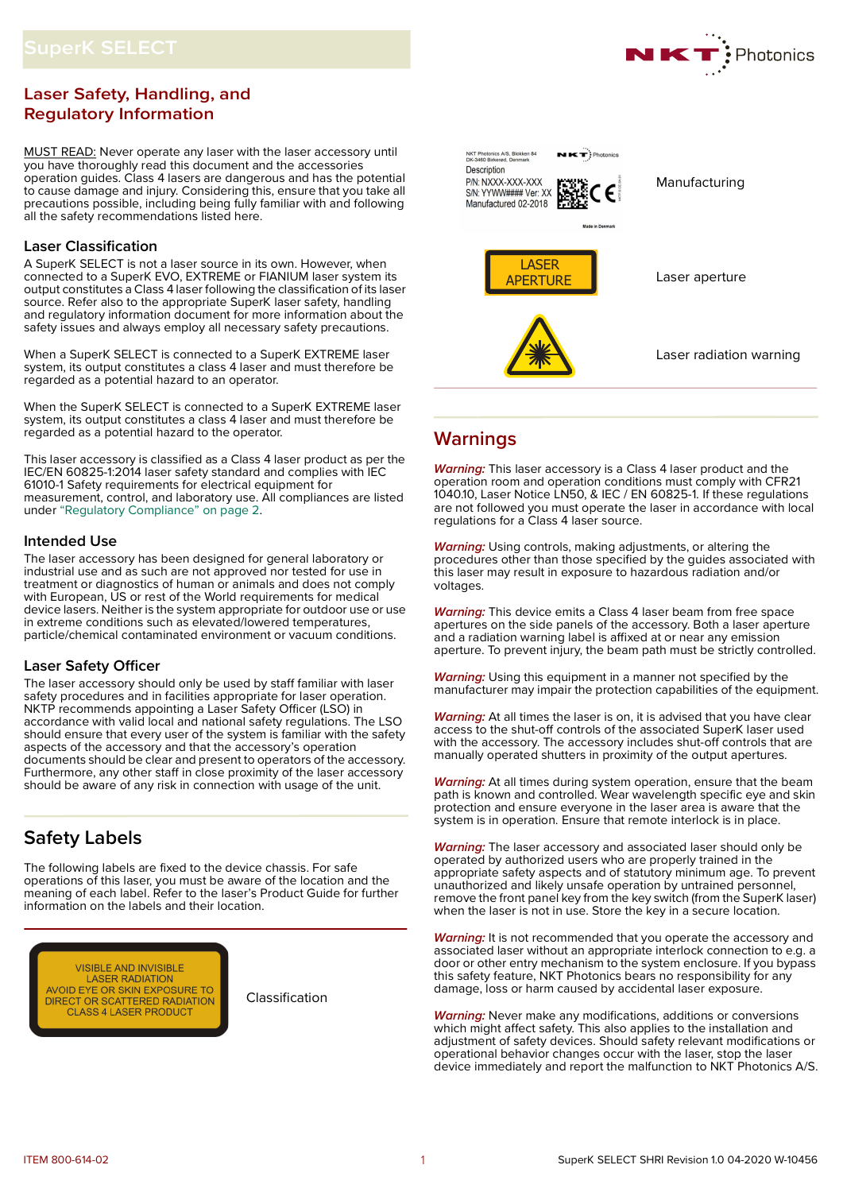# **Laser Safety, Handling, and Regulatory Information**

MUST READ: Never operate any laser with the laser accessory until you have thoroughly read this document and the accessories operation guides. Class 4 lasers are dangerous and has the potential to cause damage and injury. Considering this, ensure that you take all precautions possible, including being fully familiar with and following all the safety recommendations listed here.

# **Laser Classification**

A SuperK SELECT is not a laser source in its own. However, when connected to a SuperK EVO, EXTREME or FIANIUM laser system its output constitutes a Class 4 laser following the classification of its laser source. Refer also to the appropriate SuperK laser safety, handling and regulatory information document for more information about the safety issues and always employ all necessary safety precautions.

When a SuperK SELECT is connected to a SuperK EXTREME laser system, its output constitutes a class 4 laser and must therefore be regarded as a potential hazard to an operator.

When the SuperK SELECT is connected to a SuperK EXTREME laser system, its output constitutes a class 4 laser and must therefore be regarded as a potential hazard to the operator.

This laser accessory is classified as a Class 4 laser product as per the IEC/EN 60825-1:2014 laser safety standard and complies with IEC 61010-1 Safety requirements for electrical equipment for measurement, control, and laboratory use. All compliances are listed under ["Regulatory Compliance" on page](#page-1-0) 2.

# **Intended Use**

The laser accessory has been designed for general laboratory or industrial use and as such are not approved nor tested for use in treatment or diagnostics of human or animals and does not comply with European, US or rest of the World requirements for medical device lasers. Neither is the system appropriate for outdoor use or use in extreme conditions such as elevated/lowered temperatures, particle/chemical contaminated environment or vacuum conditions.

# **Laser Safety Officer**

The laser accessory should only be used by staff familiar with laser safety procedures and in facilities appropriate for laser operation. NKTP recommends appointing a Laser Safety Officer (LSO) in accordance with valid local and national safety regulations. The LSO should ensure that every user of the system is familiar with the safety aspects of the accessory and that the accessory's operation documents should be clear and present to operators of the accessory. Furthermore, any other staff in close proximity of the laser accessory should be aware of any risk in connection with usage of the unit.

# **Safety Labels**

The following labels are fixed to the device chassis. For safe operations of this laser, you must be aware of the location and the meaning of each label. Refer to the laser's Product Guide for further information on the labels and their location.



Classification



# **Warnings**

**Warning:** This laser accessory is a Class 4 laser product and the operation room and operation conditions must comply with CFR21 1040.10, Laser Notice LN50, & IEC / EN 60825-1. If these regulations are not followed you must operate the laser in accordance with local regulations for a Class 4 laser source.

**Warning:** Using controls, making adjustments, or altering the procedures other than those specified by the guides associated with this laser may result in exposure to hazardous radiation and/or voltages.

**Warning:** This device emits a Class 4 laser beam from free space apertures on the side panels of the accessory. Both a laser aperture and a radiation warning label is affixed at or near any emission aperture. To prevent injury, the beam path must be strictly controlled.

**Warning:** Using this equipment in a manner not specified by the manufacturer may impair the protection capabilities of the equipment.

**Warning:** At all times the laser is on, it is advised that you have clear access to the shut-off controls of the associated SuperK laser used with the accessory. The accessory includes shut-off controls that are manually operated shutters in proximity of the output apertures.

**Warning:** At all times during system operation, ensure that the beam path is known and controlled. Wear wavelength specific eye and skin protection and ensure everyone in the laser area is aware that the system is in operation. Ensure that remote interlock is in place.

**Warning:** The laser accessory and associated laser should only be operated by authorized users who are properly trained in the appropriate safety aspects and of statutory minimum age. To prevent unauthorized and likely unsafe operation by untrained personnel, remove the front panel key from the key switch (from the SuperK laser) when the laser is not in use. Store the key in a secure location.

**Warning:** It is not recommended that you operate the accessory and associated laser without an appropriate interlock connection to e.g. a door or other entry mechanism to the system enclosure. If you bypass this safety feature, NKT Photonics bears no responsibility for any damage, loss or harm caused by accidental laser exposure.

**Warning:** Never make any modifications, additions or conversions which might affect safety. This also applies to the installation and adjustment of safety devices. Should safety relevant modifications or operational behavior changes occur with the laser, stop the laser device immediately and report the malfunction to NKT Photonics A/S.

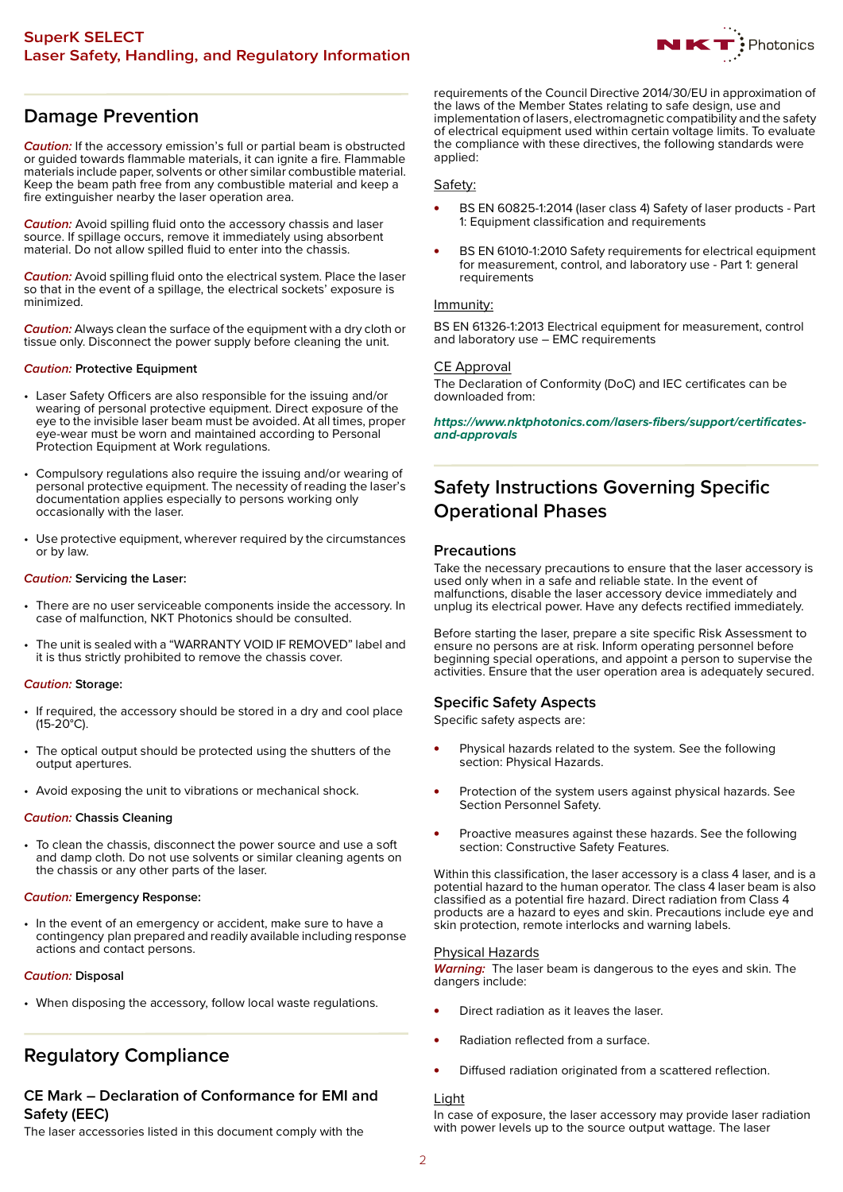

# **Damage Prevention**

**Caution:** If the accessory emission's full or partial beam is obstructed or guided towards flammable materials, it can ignite a fire. Flammable materials include paper, solvents or other similar combustible material. Keep the beam path free from any combustible material and keep a fire extinguisher nearby the laser operation area.

**Caution:** Avoid spilling fluid onto the accessory chassis and laser source. If spillage occurs, remove it immediately using absorbent material. Do not allow spilled fluid to enter into the chassis.

**Caution:** Avoid spilling fluid onto the electrical system. Place the laser so that in the event of a spillage, the electrical sockets' exposure is minimized.

**Caution:** Always clean the surface of the equipment with a dry cloth or tissue only. Disconnect the power supply before cleaning the unit.

### **Caution: Protective Equipment**

- Laser Safety Officers are also responsible for the issuing and/or wearing of personal protective equipment. Direct exposure of the eye to the invisible laser beam must be avoided. At all times, proper eye-wear must be worn and maintained according to Personal Protection Equipment at Work regulations.
- Compulsory regulations also require the issuing and/or wearing of personal protective equipment. The necessity of reading the laser's documentation applies especially to persons working only occasionally with the laser.
- Use protective equipment, wherever required by the circumstances or by law.

# **Caution: Servicing the Laser:**

- There are no user serviceable components inside the accessory. In case of malfunction, NKT Photonics should be consulted.
- The unit is sealed with a "WARRANTY VOID IF REMOVED" label and it is thus strictly prohibited to remove the chassis cover.

### **Caution: Storage:**

- If required, the accessory should be stored in a dry and cool place (15-20°C).
- The optical output should be protected using the shutters of the output apertures.
- Avoid exposing the unit to vibrations or mechanical shock.

### **Caution: Chassis Cleaning**

• To clean the chassis, disconnect the power source and use a soft and damp cloth. Do not use solvents or similar cleaning agents on the chassis or any other parts of the laser.

### **Caution: Emergency Response:**

• In the event of an emergency or accident, make sure to have a contingency plan prepared and readily available including response actions and contact persons.

### **Caution: Disposal**

• When disposing the accessory, follow local waste regulations.

# <span id="page-1-0"></span>**Regulatory Compliance**

# **CE Mark – Declaration of Conformance for EMI and Safety (EEC)**

The laser accessories listed in this document comply with the

requirements of the Council Directive 2014/30/EU in approximation of the laws of the Member States relating to safe design, use and implementation of lasers, electromagnetic compatibility and the safety of electrical equipment used within certain voltage limits. To evaluate the compliance with these directives, the following standards were applied:

# Safety:

- BS EN 60825-1:2014 (laser class 4) Safety of laser products Part 1: Equipment classification and requirements
- BS EN 61010-1:2010 Safety requirements for electrical equipment for measurement, control, and laboratory use - Part 1: general requirements

# Immunity:

BS EN 61326-1:2013 Electrical equipment for measurement, control and laboratory use – EMC requirements

# CE Approval

The Declaration of Conformity (DoC) and IEC certificates can be downloaded from:

**[https://www.nktphotonics.com/lasers-fibers/support/certificates](https://www.nktphotonics.com/lasers-fibers/support/certificates-and-approvals)and-approvals**

# **Safety Instructions Governing Specific Operational Phases**

# **Precautions**

Take the necessary precautions to ensure that the laser accessory is used only when in a safe and reliable state. In the event of malfunctions, disable the laser accessory device immediately and unplug its electrical power. Have any defects rectified immediately.

Before starting the laser, prepare a site specific Risk Assessment to ensure no persons are at risk. Inform operating personnel before beginning special operations, and appoint a person to supervise the activities. Ensure that the user operation area is adequately secured.

# **Specific Safety Aspects**

Specific safety aspects are:

- Physical hazards related to the system. See the following section: Physical Hazards.
- Protection of the system users against physical hazards. See Section Personnel Safety.
- Proactive measures against these hazards. See the following section: Constructive Safety Features.

Within this classification, the laser accessory is a class 4 laser, and is a potential hazard to the human operator. The class 4 laser beam is also classified as a potential fire hazard. Direct radiation from Class 4 products are a hazard to eyes and skin. Precautions include eye and skin protection, remote interlocks and warning labels.

### Physical Hazards

**Warning:** The laser beam is dangerous to the eyes and skin. The dangers include:

- Direct radiation as it leaves the laser.
- Radiation reflected from a surface.
- Diffused radiation originated from a scattered reflection.

### Light

In case of exposure, the laser accessory may provide laser radiation with power levels up to the source output wattage. The laser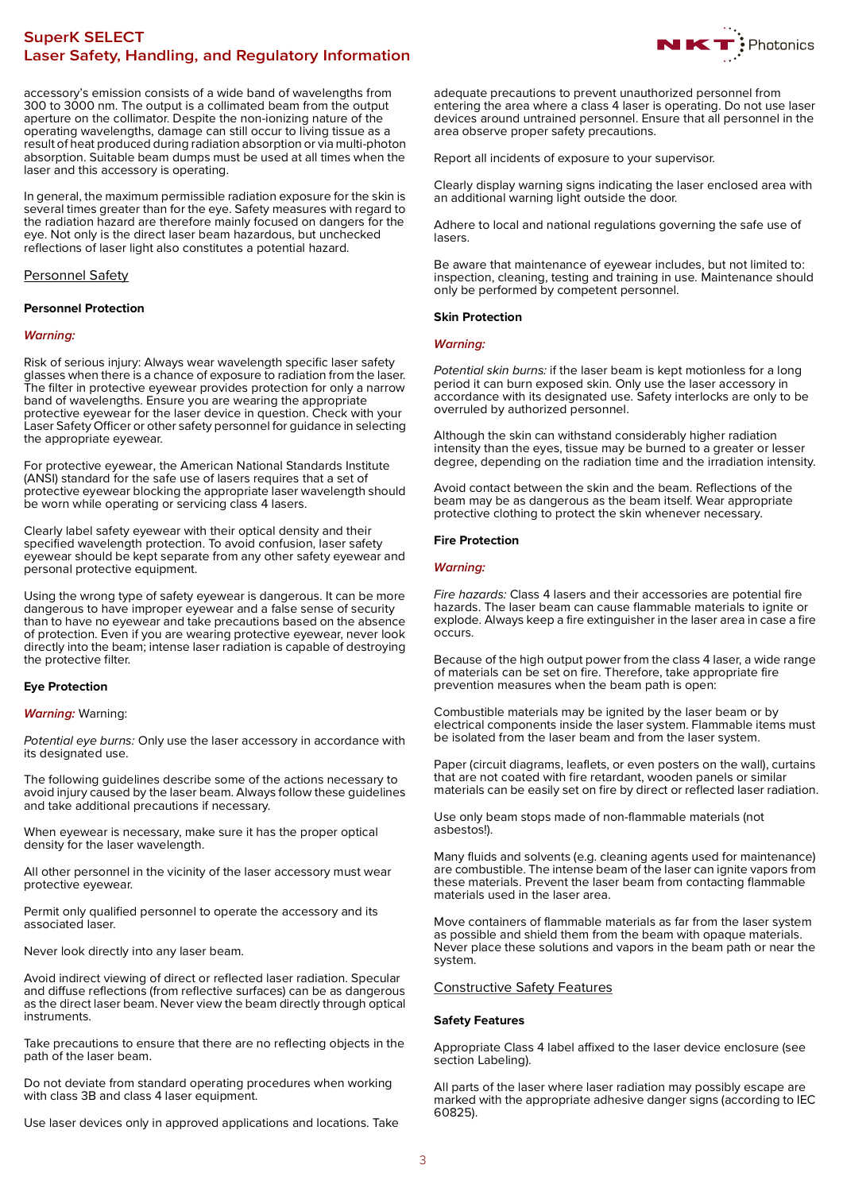# **SuperK SELECT Laser Safety, Handling, and Regulatory Information**



accessory's emission consists of a wide band of wavelengths from 300 to 3000 nm. The output is a collimated beam from the output aperture on the collimator. Despite the non-ionizing nature of the operating wavelengths, damage can still occur to living tissue as a result of heat produced during radiation absorption or via multi-photon absorption. Suitable beam dumps must be used at all times when the laser and this accessory is operating.

In general, the maximum permissible radiation exposure for the skin is several times greater than for the eye. Safety measures with regard to the radiation hazard are therefore mainly focused on dangers for the eye. Not only is the direct laser beam hazardous, but unchecked reflections of laser light also constitutes a potential hazard.

# Personnel Safety

# **Personnel Protection**

### **Warning:**

Risk of serious injury: Always wear wavelength specific laser safety glasses when there is a chance of exposure to radiation from the laser. The filter in protective eyewear provides protection for only a narrow band of wavelengths. Ensure you are wearing the appropriate protective eyewear for the laser device in question. Check with your Laser Safety Officer or other safety personnel for quidance in selecting the appropriate eyewear.

For protective eyewear, the American National Standards Institute (ANSI) standard for the safe use of lasers requires that a set of protective eyewear blocking the appropriate laser wavelength should be worn while operating or servicing class 4 lasers.

Clearly label safety eyewear with their optical density and their specified wavelength protection. To avoid confusion, laser safety eyewear should be kept separate from any other safety eyewear and personal protective equipment.

Using the wrong type of safety eyewear is dangerous. It can be more dangerous to have improper eyewear and a false sense of security than to have no eyewear and take precautions based on the absence of protection. Even if you are wearing protective eyewear, never look directly into the beam; intense laser radiation is capable of destroying the protective filter.

# **Eye Protection**

### **Warning:** Warning:

Potential eye burns: Only use the laser accessory in accordance with its designated use.

The following guidelines describe some of the actions necessary to avoid injury caused by the laser beam. Always follow these guidelines and take additional precautions if necessary.

When eyewear is necessary, make sure it has the proper optical density for the laser wavelength.

All other personnel in the vicinity of the laser accessory must wear protective eyewear.

Permit only qualified personnel to operate the accessory and its associated laser.

Never look directly into any laser beam.

Avoid indirect viewing of direct or reflected laser radiation. Specular and diffuse reflections (from reflective surfaces) can be as dangerous as the direct laser beam. Never view the beam directly through optical instruments.

Take precautions to ensure that there are no reflecting objects in the path of the laser beam.

Do not deviate from standard operating procedures when working with class 3B and class 4 laser equipment.

Use laser devices only in approved applications and locations. Take

adequate precautions to prevent unauthorized personnel from entering the area where a class 4 laser is operating. Do not use laser devices around untrained personnel. Ensure that all personnel in the area observe proper safety precautions.

Report all incidents of exposure to your supervisor.

Clearly display warning signs indicating the laser enclosed area with an additional warning light outside the door.

Adhere to local and national regulations governing the safe use of lasers.

Be aware that maintenance of eyewear includes, but not limited to: inspection, cleaning, testing and training in use. Maintenance should only be performed by competent personnel.

# **Skin Protection**

### **Warning:**

Potential skin burns: if the laser beam is kept motionless for a long period it can burn exposed skin. Only use the laser accessory in accordance with its designated use. Safety interlocks are only to be overruled by authorized personnel.

Although the skin can withstand considerably higher radiation intensity than the eyes, tissue may be burned to a greater or lesser degree, depending on the radiation time and the irradiation intensity.

Avoid contact between the skin and the beam. Reflections of the beam may be as dangerous as the beam itself. Wear appropriate protective clothing to protect the skin whenever necessary.

### **Fire Protection**

### **Warning:**

Fire hazards: Class 4 lasers and their accessories are potential fire hazards. The laser beam can cause flammable materials to ignite or explode. Always keep a fire extinguisher in the laser area in case a fire occurs.

Because of the high output power from the class 4 laser, a wide range of materials can be set on fire. Therefore, take appropriate fire prevention measures when the beam path is open:

Combustible materials may be ignited by the laser beam or by electrical components inside the laser system. Flammable items must be isolated from the laser beam and from the laser system.

Paper (circuit diagrams, leaflets, or even posters on the wall), curtains that are not coated with fire retardant, wooden panels or similar materials can be easily set on fire by direct or reflected laser radiation.

Use only beam stops made of non-flammable materials (not asbestos!).

Many fluids and solvents (e.g. cleaning agents used for maintenance) are combustible. The intense beam of the laser can ignite vapors from these materials. Prevent the laser beam from contacting flammable materials used in the laser area.

Move containers of flammable materials as far from the laser system as possible and shield them from the beam with opaque materials. Never place these solutions and vapors in the beam path or near the system.

# Constructive Safety Features

### **Safety Features**

Appropriate Class 4 label affixed to the laser device enclosure (see section Labeling).

All parts of the laser where laser radiation may possibly escape are marked with the appropriate adhesive danger signs (according to IEC 60825).